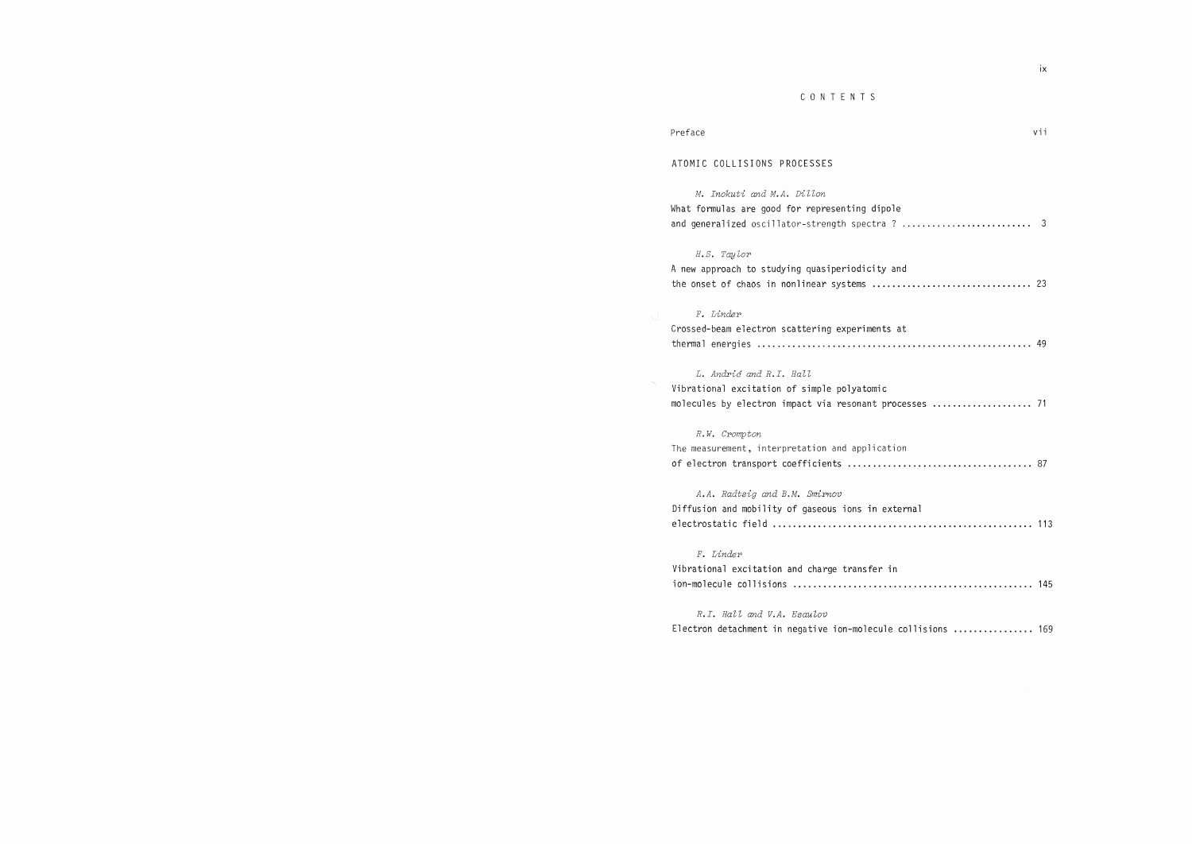### CONTENTS

| Preface |  | $\mathbf{V}$ |
|---------|--|--------------|
|         |  |              |

## ATOMIC COLLISIONS PROCESSES

M. Inokuti and M.A. Dillon What formulas are good for representing dipole and generalized oscillator-strength spectra ? .................................. 3

### H.S. Taylor

|  |  |  |  | A new approach to studying quasiperiodicity and |  |  |  |  |  |
|--|--|--|--|-------------------------------------------------|--|--|--|--|--|
|  |  |  |  |                                                 |  |  |  |  |  |

## F.Linder

| Crossed-beam electron scattering experiments at |  |
|-------------------------------------------------|--|
|                                                 |  |

#### L. Andrić and R.I. Hall

|  | Vibrational excitation of simple polyatomic |                                                         |  |
|--|---------------------------------------------|---------------------------------------------------------|--|
|  |                                             | molecules by electron impact via resonant processes  71 |  |

# R.W.Crompton

The measurement, interpretation and application of electron transport coefficients•@ 87

A.A. Radtsig and B.M. Smirnov Diffusion and mobility of gaseous ions in external electrostatic field•@ 113

F.Linder Vibrational excitation and charge transfer in  $ion$ -molecule collisions  $\dots\dots\dots\dots\dots\dots\dots\dots\dots\dots\dots\dots\dots$  145

#### R.I. Hall and V.A. Esaulov

Electron detachment in negative ion-molecule collisions ................ 169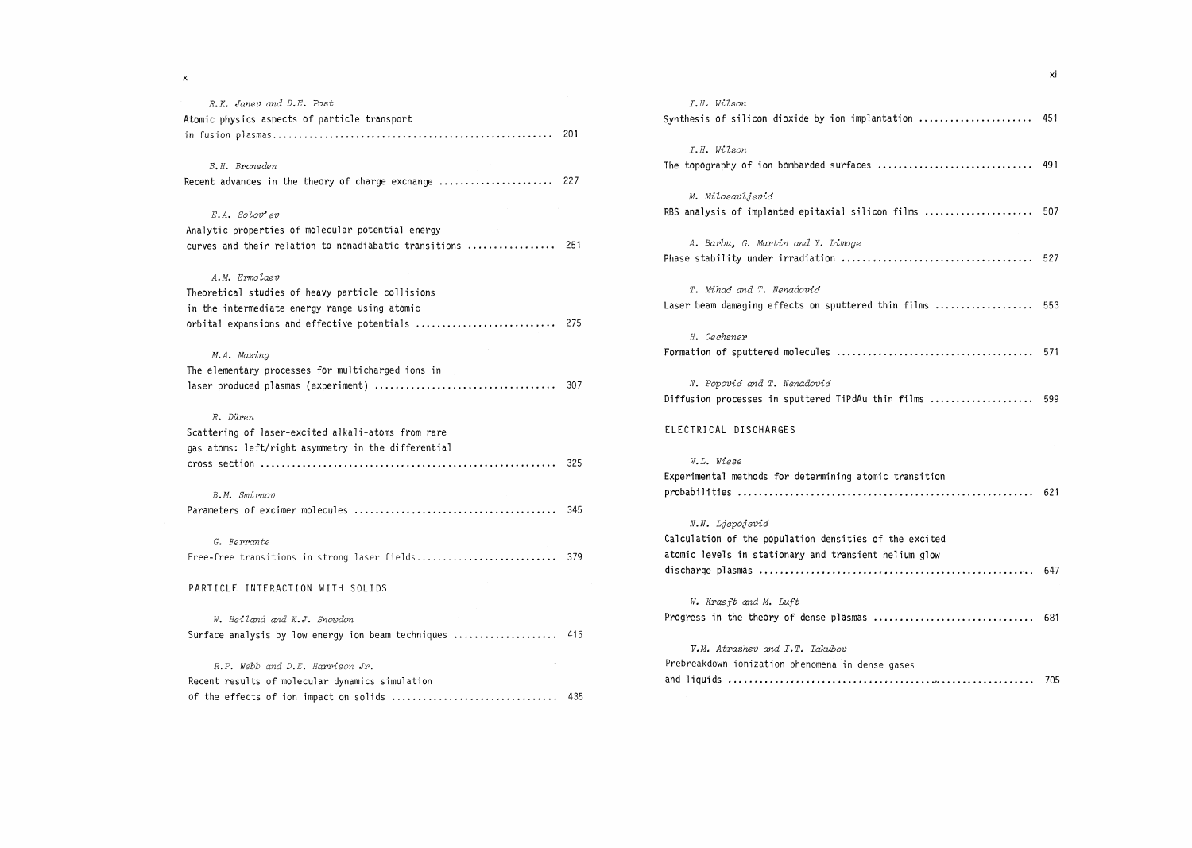$\mathbf x$ 

| R.K. Janev and D.E. Post                                   | I.H. Wilson                                             |  |
|------------------------------------------------------------|---------------------------------------------------------|--|
| Atomic physics aspects of particle transport               | Synthesis of silicon dioxide by ion implantation  45    |  |
|                                                            |                                                         |  |
|                                                            | I.H. Wilson                                             |  |
| B.H. Bransden                                              |                                                         |  |
| Recent advances in the theory of charge exchange  227      |                                                         |  |
|                                                            | M. Milosavljević                                        |  |
| $E.A.$ Solov'ev                                            | RBS analysis of implanted epitaxial silicon films  50   |  |
| Analytic properties of molecular potential energy          |                                                         |  |
| curves and their relation to nonadiabatic transitions  251 | A. Barbu, G. Martin and Y. Limoge                       |  |
|                                                            |                                                         |  |
| A.M. Ermolaev                                              |                                                         |  |
| Theoretical studies of heavy particle collisions           | T. Mihać and T. Nenadović                               |  |
| in the intermediate energy range using atomic              | Laser beam damaging effects on sputtered thin films  5! |  |
| orbital expansions and effective potentials  275           |                                                         |  |
|                                                            | H. Oechsner                                             |  |
| M.A. Mazing                                                |                                                         |  |
| The elementary processes for multicharged ions in          |                                                         |  |
|                                                            | N. Popović and T. Nenadović                             |  |
|                                                            | Diffusion processes in sputtered TiPdAu thin films  59  |  |
| R. Düren                                                   |                                                         |  |
| Scattering of laser-excited alkali-atoms from rare         | ELECTRICAL DISCHARGES                                   |  |
| gas atoms: left/right asymmetry in the differential        |                                                         |  |
|                                                            | W.L. Wiese                                              |  |
|                                                            | Experimental methods for determining atomic transition  |  |
| B.M. Smirnov                                               |                                                         |  |
|                                                            |                                                         |  |
|                                                            | N.N. Ljepojević                                         |  |
| G. Ferrante                                                | Calculation of the population densities of the excited  |  |
| Free-free transitions in strong laser fields 379           | atomic levels in stationary and transient helium glow   |  |
|                                                            |                                                         |  |
| PARTICLE INTERACTION WITH SOLIDS                           |                                                         |  |
|                                                            | W. Kraeft and M. Luft                                   |  |
| W. Heiland and K.J. Snowdon                                |                                                         |  |
| Surface analysis by low energy ion beam techniques  415    |                                                         |  |
|                                                            | V.M. Atrazhev and I.T. Iakubov                          |  |
| R.P. Webb and D.E. Harrison Jr.                            | Prebreakdown ionization phenomena in dense gases        |  |
| Recent results of molecular dynamics simulation            |                                                         |  |
|                                                            |                                                         |  |
|                                                            |                                                         |  |

|       |     | I.H. Wilson                                              |  |
|-------|-----|----------------------------------------------------------|--|
|       |     | Synthesis of silicon dioxide by ion implantation  451    |  |
| .     | 201 |                                                          |  |
|       |     | I.H. Wilson                                              |  |
|       |     | The topography of ion bombarded surfaces  491            |  |
| . 227 |     |                                                          |  |
|       |     | M. Milosavljević                                         |  |
|       |     | RBS analysis of implanted epitaxial silicon films  507   |  |
| . 251 |     | A. Barbu, G. Martin and Y. Limoge                        |  |
|       |     |                                                          |  |
|       |     | T. Mihać and T. Nenadović                                |  |
|       |     | Laser beam damaging effects on sputtered thin films  553 |  |
| . 275 |     |                                                          |  |
|       |     | H. Oechsner                                              |  |
|       |     |                                                          |  |
| .     | 307 | N. Popović and T. Nenadović                              |  |
|       |     | Diffusion processes in sputtered TiPdAu thin films  599  |  |
|       |     | ELECTRICAL DISCHARGES                                    |  |
| . 325 |     | W.L. Wiese                                               |  |
|       |     | Experimental methods for determining atomic transition   |  |
|       |     |                                                          |  |
| .     | 345 |                                                          |  |
|       |     | N.N. Ljepojević                                          |  |
|       |     | Calculation of the population densities of the excited   |  |
| 379   |     | atomic levels in stationary and transient helium glow    |  |
|       |     |                                                          |  |
|       |     | W. Kraeft and M. Luft                                    |  |
|       |     |                                                          |  |
|       | 415 |                                                          |  |
|       |     | V.M. Atrazhev and I.T. Iakubov                           |  |
|       |     | Prebreakdown ionization phenomena in dense gases         |  |
|       |     |                                                          |  |
|       |     |                                                          |  |

 $\overline{\mathbf{x}}$